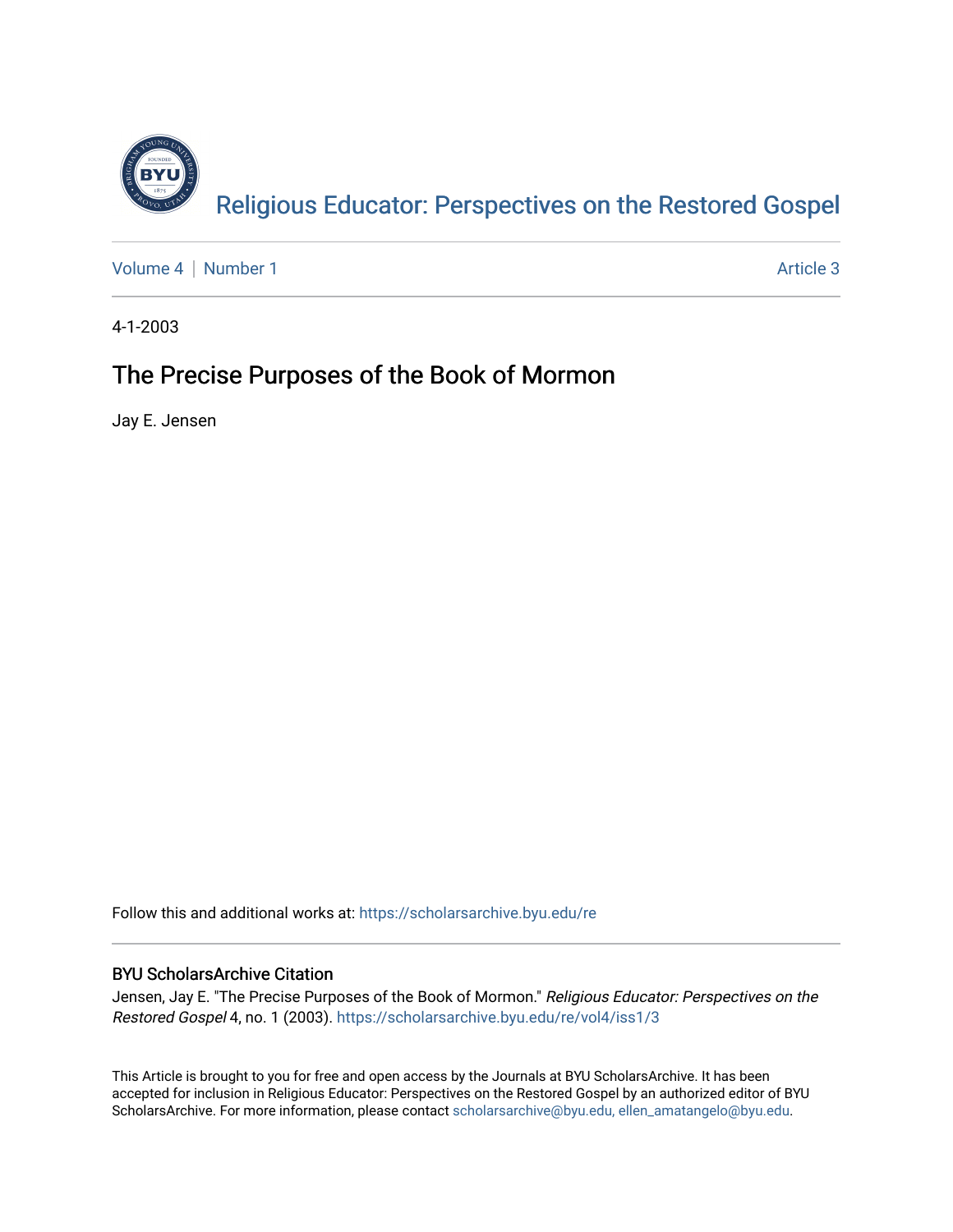

[Volume 4](https://scholarsarchive.byu.edu/re/vol4) | [Number 1](https://scholarsarchive.byu.edu/re/vol4/iss1) Article 3

4-1-2003

#### The Precise Purposes of the Book of Mormon

Jay E. Jensen

Follow this and additional works at: [https://scholarsarchive.byu.edu/re](https://scholarsarchive.byu.edu/re?utm_source=scholarsarchive.byu.edu%2Fre%2Fvol4%2Fiss1%2F3&utm_medium=PDF&utm_campaign=PDFCoverPages)

#### BYU ScholarsArchive Citation

Jensen, Jay E. "The Precise Purposes of the Book of Mormon." Religious Educator: Perspectives on the Restored Gospel 4, no. 1 (2003). [https://scholarsarchive.byu.edu/re/vol4/iss1/3](https://scholarsarchive.byu.edu/re/vol4/iss1/3?utm_source=scholarsarchive.byu.edu%2Fre%2Fvol4%2Fiss1%2F3&utm_medium=PDF&utm_campaign=PDFCoverPages) 

This Article is brought to you for free and open access by the Journals at BYU ScholarsArchive. It has been accepted for inclusion in Religious Educator: Perspectives on the Restored Gospel by an authorized editor of BYU ScholarsArchive. For more information, please contact [scholarsarchive@byu.edu, ellen\\_amatangelo@byu.edu.](mailto:scholarsarchive@byu.edu,%20ellen_amatangelo@byu.edu)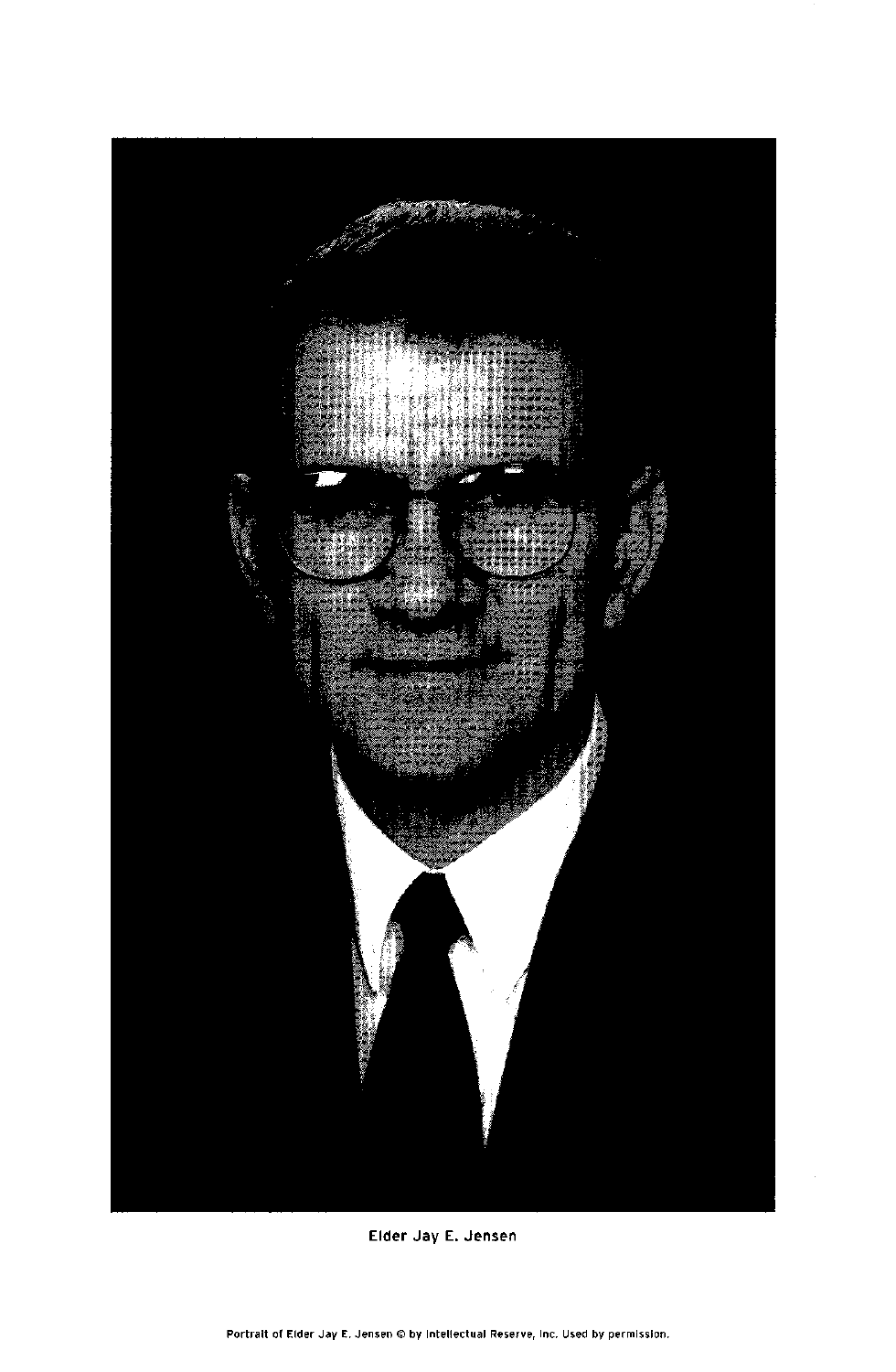

Elder Jay E. Jensen

Portrait of Elder Jay E. Jensen @ by Intellectual Reserve, Inc. Used by permission.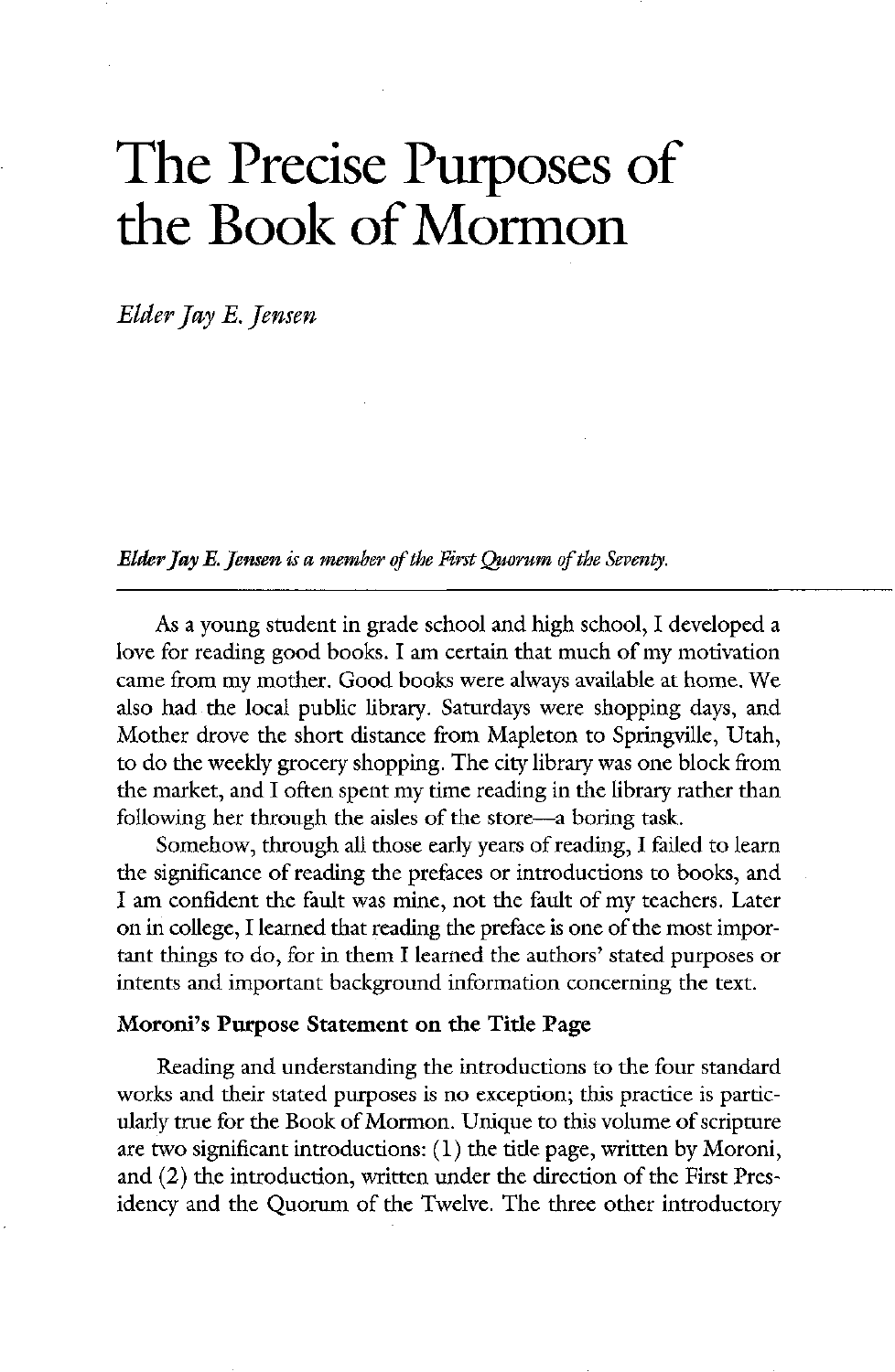# The Precise Purposes of the Book of Mormon

Elder Jay E. Jensen

Elder Jay E. Jensen is a member of the First Quorum of the Seventy.

As a young student in grade school and high school, I developed a love for reading good books. I am certain that much of my motivation came from my mother. Good books were always available at home. We also had the local public library. Saturdays were shopping days, and Mother drove the short distance from Mapleton to Springville, Utah, to do the weekly grocery shopping. The city library was one block from the market, and I often spent my time reading in the library rather than following her through the aisles of the store—a boring task. Somehow, through all those early years of reading, I failed to learn the significance of reading the prefaces or introductions to books, and I am confident the fault was mine, not the fault of my teachers. Later on in college, I learned that reading the preface is one of the most important things to do, for in them I learned the authors' stated purposes or intents and important background information concerning the text

### Moroni's Purpose Statement on the Title Page

Reading and understanding the introductions to the four standard works and their stated purposes is no exception; this practice is particularly true for the Book of Mormon. Unique to this volume of scripture are two significant introductions:  $(1)$  the title page, written by Moroni, and  $(2)$  the introduction, written under the direction of the First Presidency and the Quorum of the Twelve. The three other introductory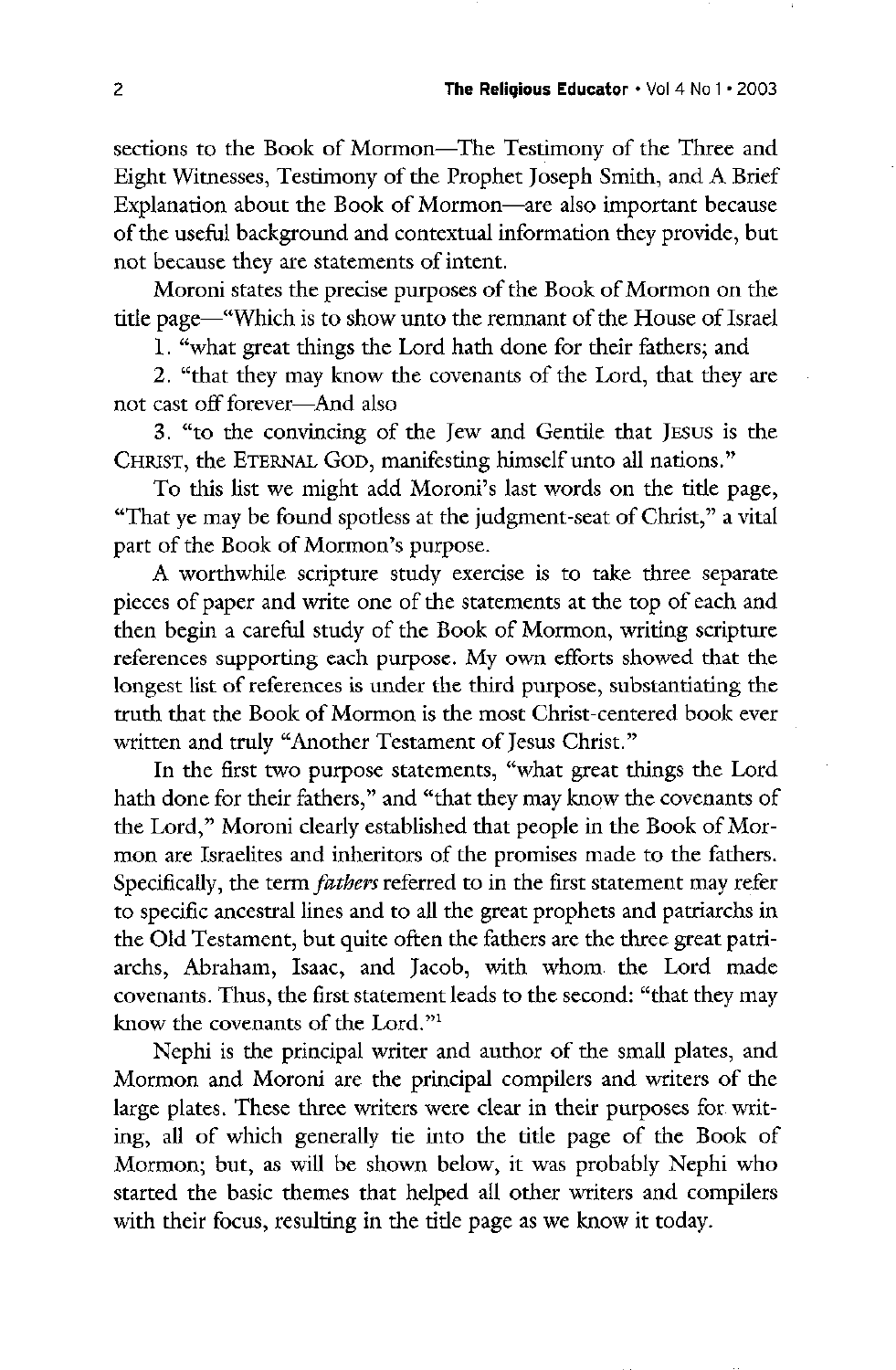sections to the Book of Mormon—The Testimony of the Three and Eight Witnesses, Testimony of the Prophet Joseph Smith, and A Brief Explanation about the Book of Mormon—are also important because of the useful background and contextual information they provide, but not because they are statements of intent

Moroni states the precise purposes of the Book of Mormon on the title page—"Which is to show unto the remnant of the House of Israel

1. "what great things the Lord hath done for their fathers; and

2. "that they may know the covenants of the Lord, that they are not cast off forever—And also

3. "to the convincing of the Jew and Gentile that JESUS is the CHRIST, the ETERNAL GOD, manifesting himself unto all nations."

To this list we might add Moroni's last words on the title page, "That ye may be found spotless at the judgment-seat of Christ," a vital part of the Book of Mormon's purpose.

A worthwhile scripture study exercise is to take three separate pieces of paper and write one of the statements at the top of each and then begin a careful study of the Book of Mormon, writing scripture references supporting each purpose. My own efforts showed that the longest list of references is under the third purpose, substantiating the truth that the Book of Mormon is the most Christ-centered book ever written and truly "Another Testament of Jesus Christ." In the first two purpose statements, "what great things the Lord hath done for their fathers," and "that they may know the covenants of the Lord," Moroni clearly established that people in the Book of Mormon are Israelites and inheritors of the promises made to the fathers. Specifically, the term *fathers* referred to in the first statement may refer to specific ancestral lines and to all the great prophets and patriarchs in the Old Testament, but quite often the fathers are the three great patriarchs, Abraham, Isaac, and Jacob, with whom the Lord made covenants. Thus, the first statement leads to the second: "that they may know the covenants of the Lord."<sup>1</sup> Nephi is the principal writer and author of the small plates, and Mormon and Moroni are the principal compilers and writers of the large plates. These three writers were clear in their purposes for writing, all of which generally tie into the title page of the Book of Mormon; but, as will be shown below, it was probably Nephi who started the basic themes that helped all other writers and compilers with their focus, resulting in the title page as we know it today.

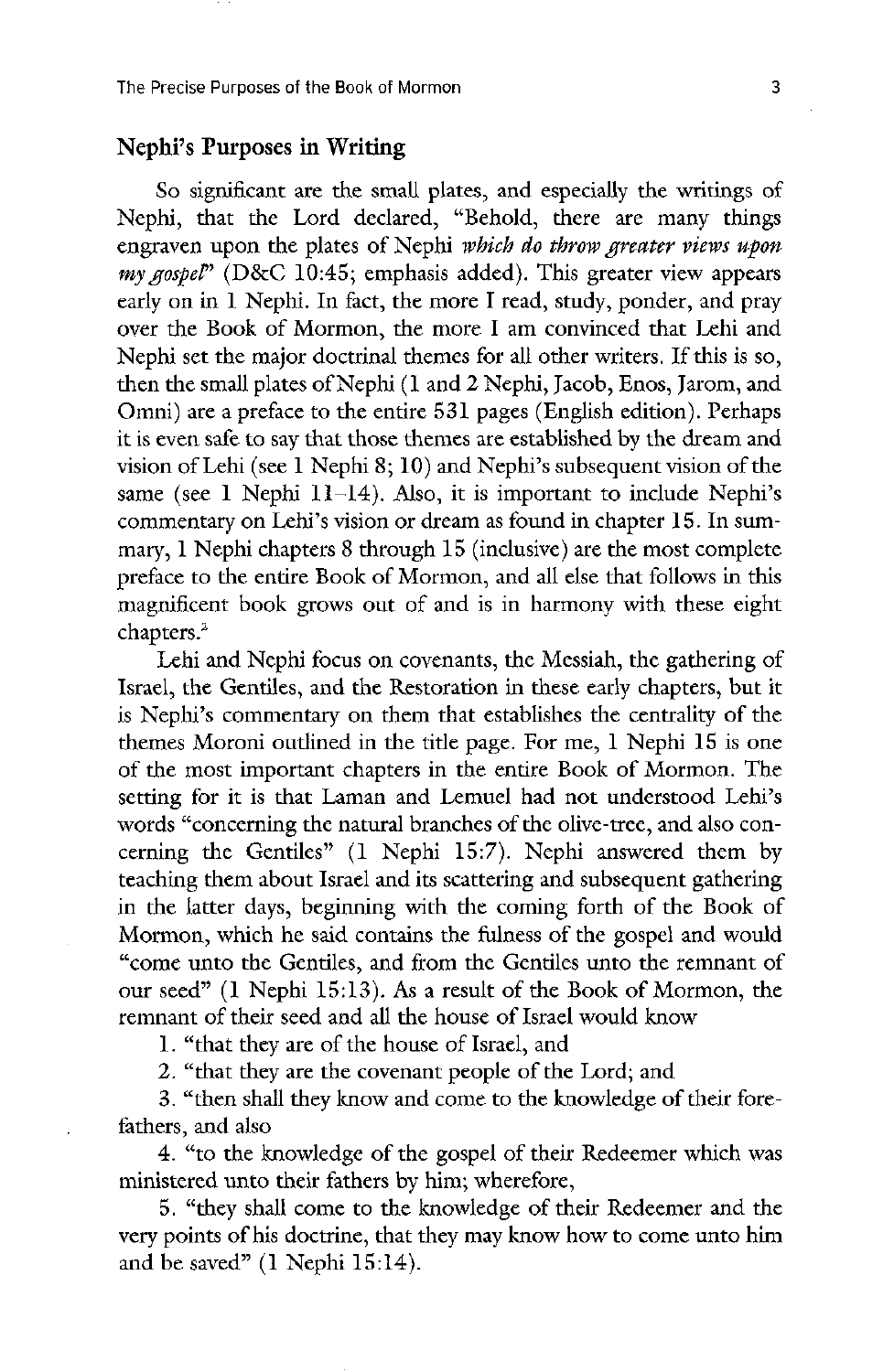#### Nephi's Purposes in Writing

So significant are the small plates, and especially the writings of Nephi, that the Lord declared, "Behold, there are many things engraven upon the plates of Nephi which do throw greater views upon my gospel<sup>"</sup> (D&C 10:45; emphasis added). This greater view appears early on in  $1$  Nephi. In fact, the more I read, study, ponder, and pray over the Book of Mormon, the more I am convinced that Lehi and Nephi set the major doctrinal themes for all other writers. If this is so, then the small plates of Nephi (1 and 2 Nephi, Jacob, Enos, Jarom, and Omni) are a preface to the entire 531 pages (English edition). Perhaps it is even safe to say that those themes are established by the dream and vision of Lehi (see  $1$  Nephi  $8$ ;  $10$ ) and Nephi's subsequent vision of the same (see 1 Nephi 11–14). Also, it is important to include Nephi's commentary on Lehi's vision or dream as found in chapter 15. In summary, 1 Nephi chapters 8 through 15 (inclusive) are the most complete preface to the entire Book of Mormon, and all else that follows in this magnificent book grows out of and is in harmony with these eight chapters.<sup>2</sup>

Lehi and Nephi focus on covenants, the Messiah, the gathering of Israel, the Gentiles, and the Restoration in these early chapters, but it is Nephi's commentary on them that establishes the centrality of the themes Moroni outlined in the title page. For me,  $1$  Nephi 15 is one of the most important chapters in the entire Book of Mormon. The setting for it is that Laman and Lemuel had not understood Lehi's words "concerning the natural branches of the olive-tree, and also concerning the Gentiles"  $(1 \text{ Nephi } 15:7)$ . Nephi answered them by teaching them about israel and its scattering and subsequent gathering in the latter days, beginning with the coming forth of the Book of Mormon, which he said contains the fulness of the gospel and would "come unto the Gentiles, and from the Gentiles unto the remnant of our seed"  $(1$  Nephi 15:13). As a result of the Book of Mormon, the remnant of their seed and all the house of Israel would know

1. "that they are of the house of Israel, and

2. "that they are the covenant people of the Lord; and

3. "then shall they know and come to the knowledge of their forefathers, and also

4. "to the knowledge of the gospel of their Redeemer which was ministered unto their fathers by him; wherefore,

5. "they shall come to the knowledge of their Redeemer and the very points of his doctrine, that they may know how to come unto him and be saved"  $(1$  Nephi 15:14).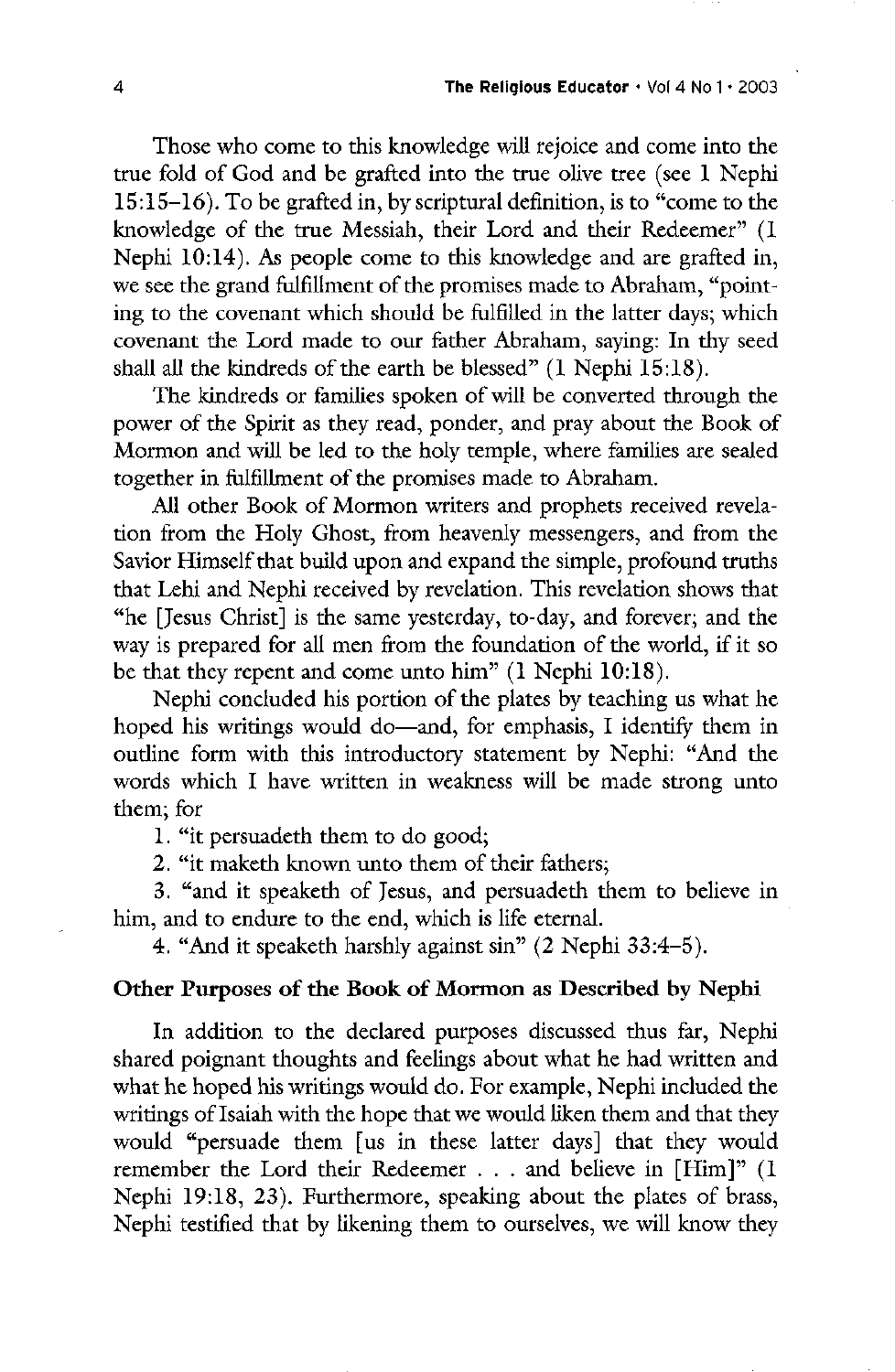Those who come to this knowledge will rejoice and come into the true fold of God and be grafted into the true olive tree (see 1 Nephi  $15:15-16$ ). To be grafted in, by scriptural definition, is to "come to the knowledge of the true Messiah, their Lord and their Redeemer" (I Nephi  $10:14$ ). As people come to this knowledge and are grafted in, we see the grand fulfillment of the promises made to Abraham, "pointing to the covenant which should be fulfilled in the latter days; which covenant the Lord made to our father Abraham, saying: In thy seed shall all the kindreds of the earth be blessed"  $(1$  Nephi 15:18).

The kindreds or families spoken of will be converted through the power of the Spirit as they read, ponder, and pray about the Book of Mormon and will be led to the holy temple, where families are sealed together in fulfillment of the promises made to Abraham.

All other Book of Mormon writers and prophets received revelation from the Holy Ghost, from heavenly messengers, and from the Savior Himself that build upon and expand the simple, profound truths that Lehi and Nephi received by revelation. This revelation shows that "he [Jesus Christ] is the same yesterday, to-day, and forever; and the way is prepared for all men from the foundation of the world, if it so be that they repent and come unto him"  $(1$  Nephi 10:18).

Nephi concluded his portion of the plates by teaching us what he hoped his writings would do—and, for emphasis, I identify them in outline form with this introductory statement by Nephi: "And the words which I have written in weakness will be made strong unto them; for

1. "it persuadeth them to do good;

2. "it maketh known unto them of their fathers;

3. "and it speaketh of Jesus, and persuadeth them to believe in him, and to endure to the end, which is life eternal.

4. "And it speaketh harshly against sin"  $(2 \text{ Nephi } 33:4-5)$ .

### Other Purposes of the Book of Mormon as Described by Nephi

In addition to the declared purposes discussed thus far, Nephi shared poignant thoughts and feelings about what he had written and what he hoped his writings would do. For example, Nephi included the writings of Isaiah with the hope that we would liken them and that they would "persuade them [us in these latter days] that they would remember the Lord their Redeemer  $\dots$  and believe in [Him]" (I Nephi 19:18, 23). Furthermore, speaking about the plates of brass, Nephi testified that by likening them to ourselves, we will know they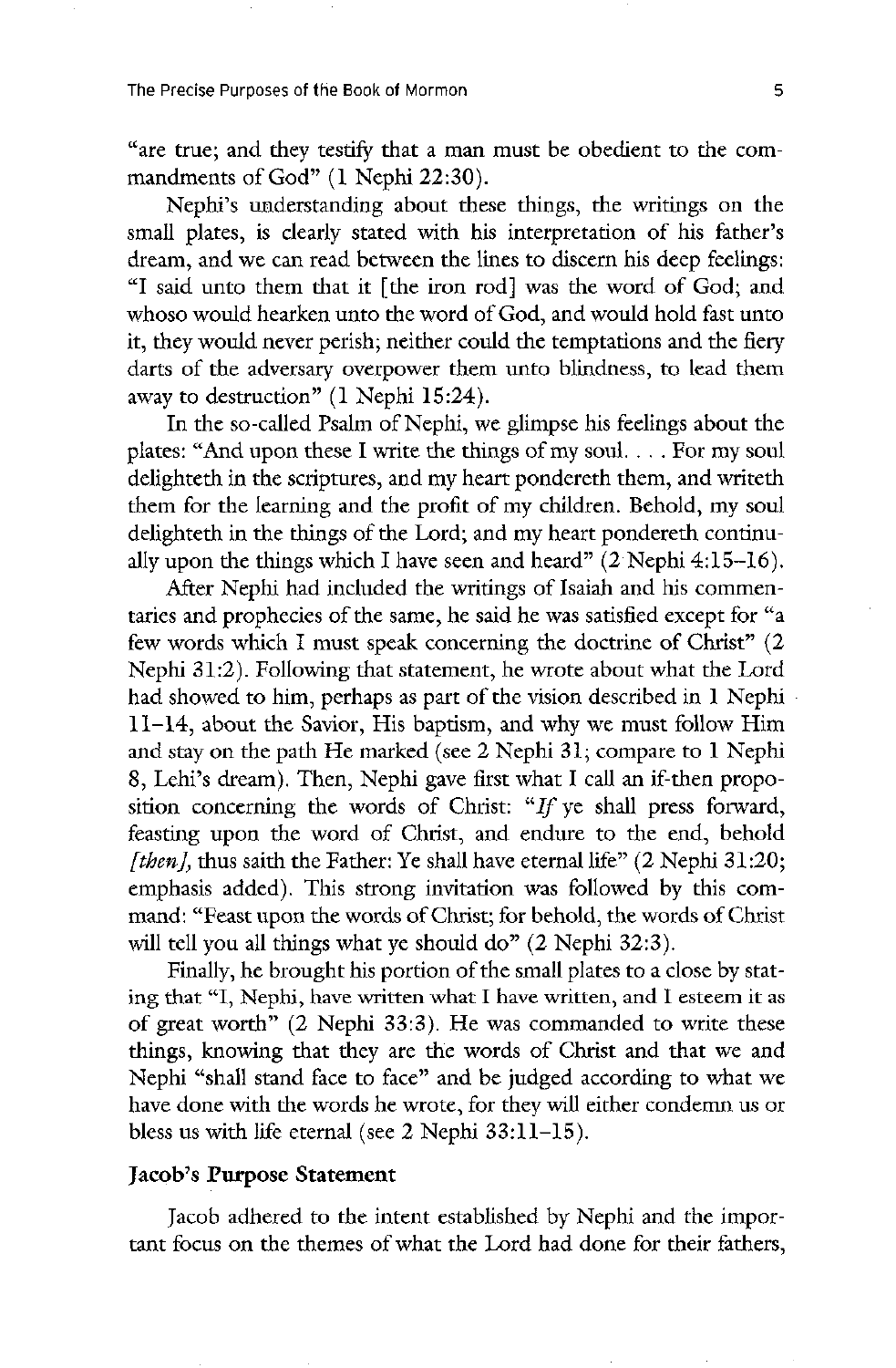"are true; and they testify that a man must be obedient to the commandments of God"  $(1$  Nephi 22:30).

Nephi's understanding about these things, the writings on the small plates, is clearly stated with his interpretation of his father's dream, and we can read between the lines to discern his deep feelings: "I said unto them that it [the iron rod] was the word of God; and whoso would hearken unto the word of God, and would hold fast unto it, they would never perish; neither could the temptations and the fiery darts of the adversary overpower them unto blindness, to lead them away to destruction"  $(1$  Nephi 15:24).

In the so-called Psalm of Nephi, we glimpse his feelings about the plates: "And upon these I write the things of my soul.  $\ldots$  For my soul delighteth in the scriptures, and my heart pondereth them, and writeth them for the learning and the profit of my children. Behold, my soul delighteth in the things of the Lord; and my heart pondereth continually upon the things which I have seen and heard"  $(2$  Nephi 4:15–16).

After Nephi had included the writings of Isaiah and his commentaries and prophecies of the same, he said he was satisfied except for "a few words which I must speak concerning the doctrine of Christ"  $(2)$ Nephi 31:2). Following that statement, he wrote about what the Lord had showed to him, perhaps as part of the vision described in 1 Nephi  $11-14$ , about the Savior, His baptism, and why we must follow Him and stay on the path He marked (see 2 Nephi 31; compare to 1 Nephi 8, Lehi's dream). Then, Nephi gave first what I call an if-then proposition concerning the words of Christ: "If ye shall press forward, feasting upon the word of Christ, and endure to the end, behold [then], thus saith the Father: Ye shall have eternal life"  $(2 \text{ Nephi } 31:20;$ emphasis added). This strong invitation was followed by this command: "Feast upon the words of Christ; for behold, the words of Christ will tell you all things what ye should do"  $(2 \text{ Nephi } 32:3)$ . Finally, he brought his portion of the small plates to a close by stating that "I, Nephi, have written what I have written, and I esteem it as of great worth"  $(2 \text{ Nephi } 33:3)$ . He was commanded to write these things, knowing that they are the words of Christ and that we and Nephi "shall stand face to face" and be judged according to what we have done with the words he wrote, for they will either condemn us or bless us with life eternal (see 2 Nephi  $33:11-15$ ).

#### Jacob's Purpose Statement

Jacob adhered to the intent established by Nephi and the important focus on the themes of what the lord had done for their fathers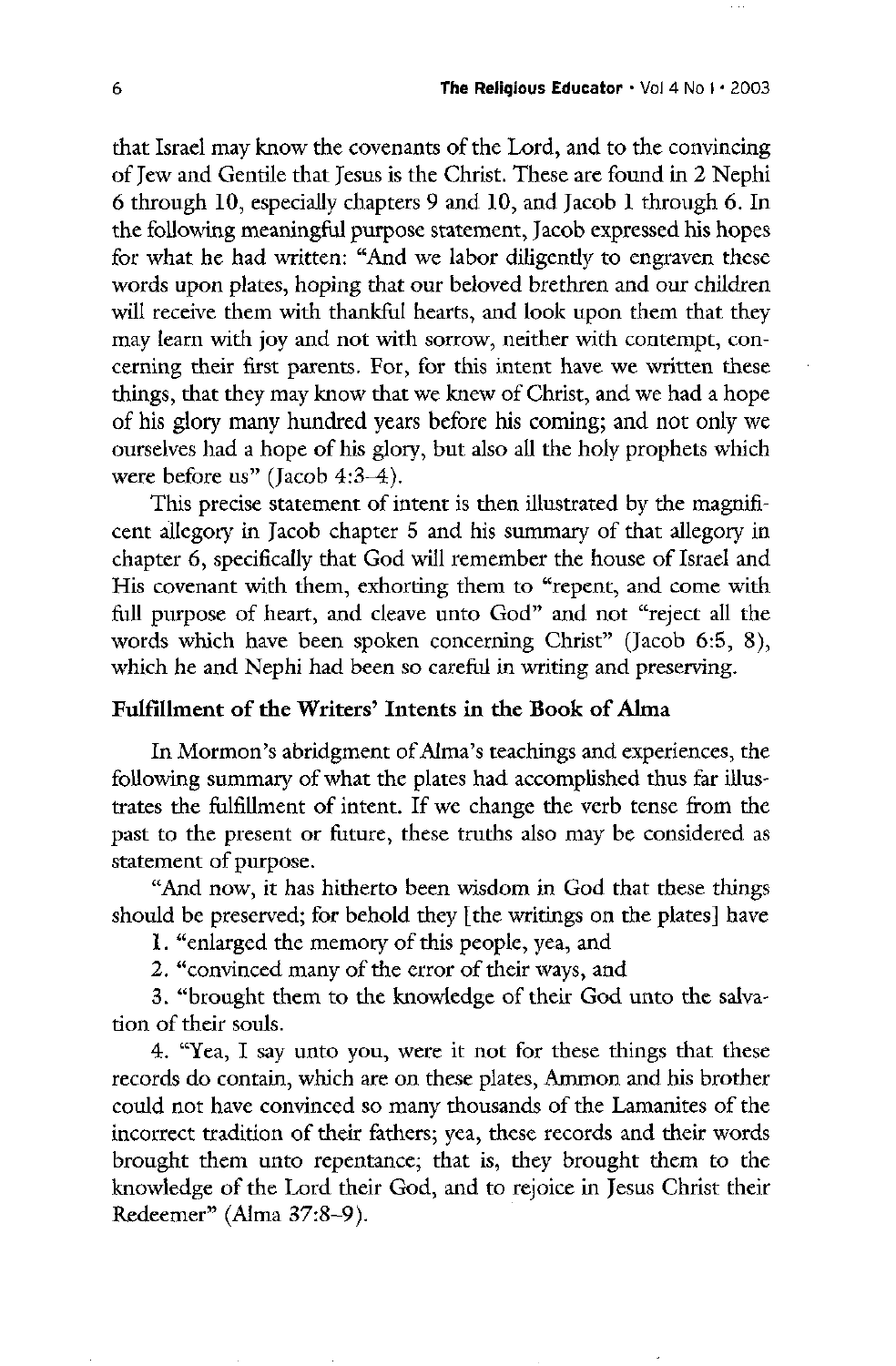that Israel may know the covenants of the Lord, and to the convincing of Jew and Gentile that Jesus is the Christ. These are found in 2 Nephi 6 through 10, especially chapters 9 and 10, and Jacob 1 through 6. In the following meaningful purpose statement, Jacob expressed his hopes for what he had written: "And we labor diligently to engraven these words upon plates, hoping that our beloved brethren and our children will receive them with thankful hearts, and look upon them that they may learn with joy and not with sorrow, neither with contempt, concerning their first parents. For, for this intent have we written these things, that they may know that we knew of Christ, and we had a hope of his glory many hundred years before his coming; and not only we ourselves had a hope of his glory, but also all the holy prophets which were before us" (Jacob  $4:3-4$ ).

This precise statement of intent is then illustrated by the magnificent allegory in jacob chapter <sup>5</sup> and his summary of that allegory in chapter 6, specifically that God will remember the house of Israel and His covenant with them, exhorting them to "repent, and come with full purpose of heart, and cleave unto God" and not "reject all the words which have been spoken concerning Christ" (Jacob 6:5, 8), which he and Nephi had been so careful in writing and preserving.

#### Fulfillment of the Writers' Intents in the Book of Alma

In Mormon's abridgment of Alma's teachings and experiences, the following summary of what the plates had accomplished thus far illustrates the fulfillment of intent. If we change the verb tense from the past to the present or future, these truths also may be considered as statement of purpose

"And now, it has hitherto been wisdom in God that these things should be preserved; for behold they [the writings on the plates] have

1. "enlarged the memory of this people, yea, and

2. "convinced many of the error of their ways, and

3. "brought them to the knowledge of their God unto the salvation of their souls

4. "Yea, I say unto you, were it not for these things that these records do contain, which are on these plates, Ammon and his brother could not have convinced so many thousands of the Lamanites of the incorrect tradition of their fathers; yea, these records and their words brought them unto repentance; that is, they brought them to the knowledge of the Lord their God, and to rejoice in Jesus Christ their Redeemer" (Alma 37:8-9).

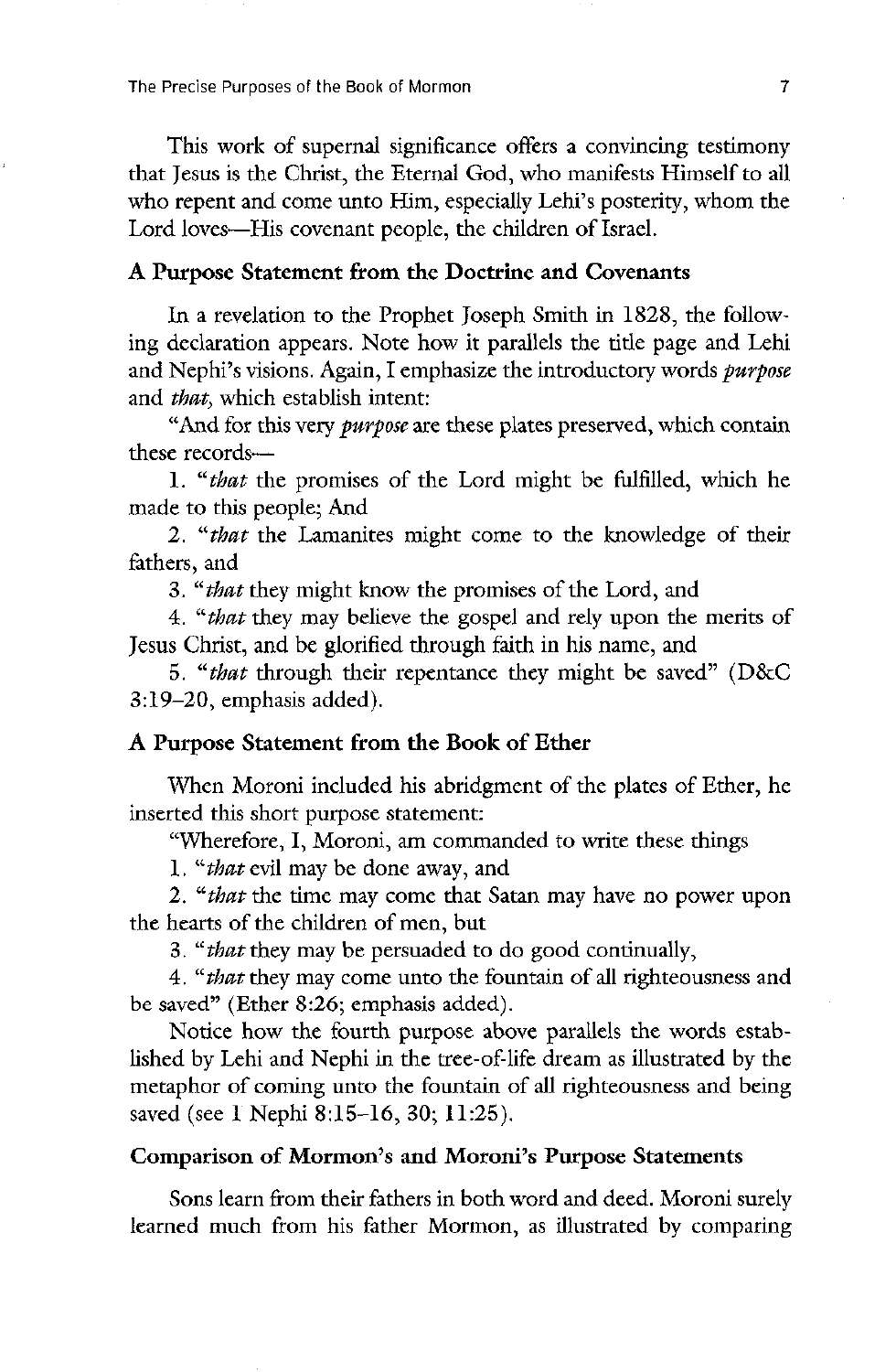The Precise Purposes of the Book of Mormon 7 and 7 and 7 and 7 and 7 and 7 and 7 and 7 and 7 and 7 and 7 and 7

This work of supernal significance offers a convincing testimony that Jesus is the Christ, the Eternal God, who manifests Himself to all who repent and come unto Him, especially Lehi's posterity, whom the Lord loves—His covenant people, the children of Israel.

#### A Purpose Statement from the Doctrine and Covenants

In a revelation to the Prophet Joseph Smith in 1828, the following declaration appears. Note how it parallels the title page and Lehi and Nephi's visions. Again, I emphasize the introductory words *purpose* and *that*, which establish intent:

"And for this very *purpose* are these plates preserved, which contain these records

1. "*that* the promises of the Lord might be fulfilled, which he made to this people; And

2. "*that* the Lamanites might come to the knowledge of their fathers, and

3. "*that* they might know the promises of the Lord, and

4. "*that* they may believe the gospel and rely upon the merits of Jesus Christ, and be glorified through faith in his name, and

5. "*that* through their repentance they might be saved" ( $D&C$  $3:19-20$ , emphasis added).

# A Purpose Statement from the Book of Ether

When Moroni included his abridgment of the plates of Ether, he inserted this short purpose statement

"Wherefore, I, Moroni, am commanded to write these things

1. "*that* evil may be done away, and

2. "*that* the time may come that Satan may have no power upon the hearts of the children of men, but

3. "*that* they may be persuaded to do good continually,

4. "*that* they may come unto the fountain of all righteousness and be saved" (Ether  $8:26$ ; emphasis added).

Notice how the fourth purpose above parallels the words established by Lehi and Nephi in the tree-of-life dream as illustrated by the metaphor of coming unto the fountain of all righteousness and being saved (see 1 Nephi 8:15-16, 30; 11:25).

# Comparison of Mormon's and Moroni's Purpose Statements

Sons learn from their fathers in both word and deed. Moroni surely learned much from his father Mormon, as illustrated by comparing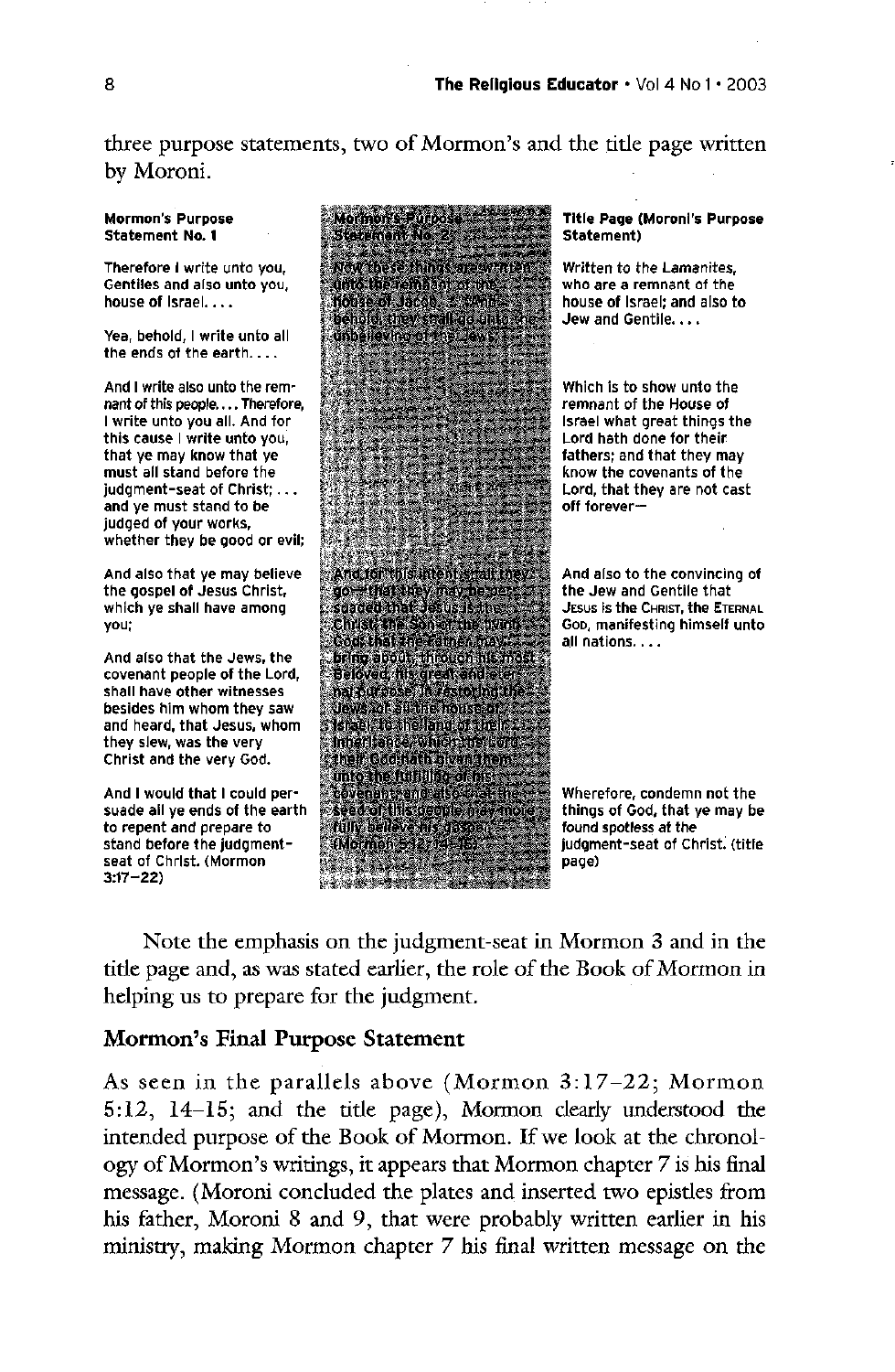three purpose statements, two of Mormon's and the title page written by Moroni.

Yea, behold, I write unto all the ends of the earth

And I write also unto the remand ye must stand to be judged of your works whether they be good or evil



house of Israel; and also to

Which is to show unto the Lord, that they are not cast<br>off forever-

and heard, that Jesus, whom they slew, was the very Christ and the very God.

And I would that I could persuade all ye ends of the earth to repent and prepare to ny belleve at the spotless at the state of the spotless at the spotless at the spotles  $3:17 - 22$ 

judgment-seat of Christ. (title

Note the emphasis on the judgment-seat in Mormon 3 and in the title page and, as was stated earlier, the role of the Book of Mormon in helping us to prepare for the judgment.

# Mormon's Final Purpose Statement

As seen in the parallels above (Mormon  $3:17-22$ ; Mormon  $5:12$ ,  $14-15$ ; and the title page), Mormon clearly understood the intended purpose of the Book of Mormon. If we look at the chronology of Mormon's writings, it appears that Mormon chapter 7 is his final message. (Moroni concluded the plates and inserted two epistles from his father, Moroni 8 and 9, that were probably written earlier in his ministry, making Mormon chapter 7 his final written message on the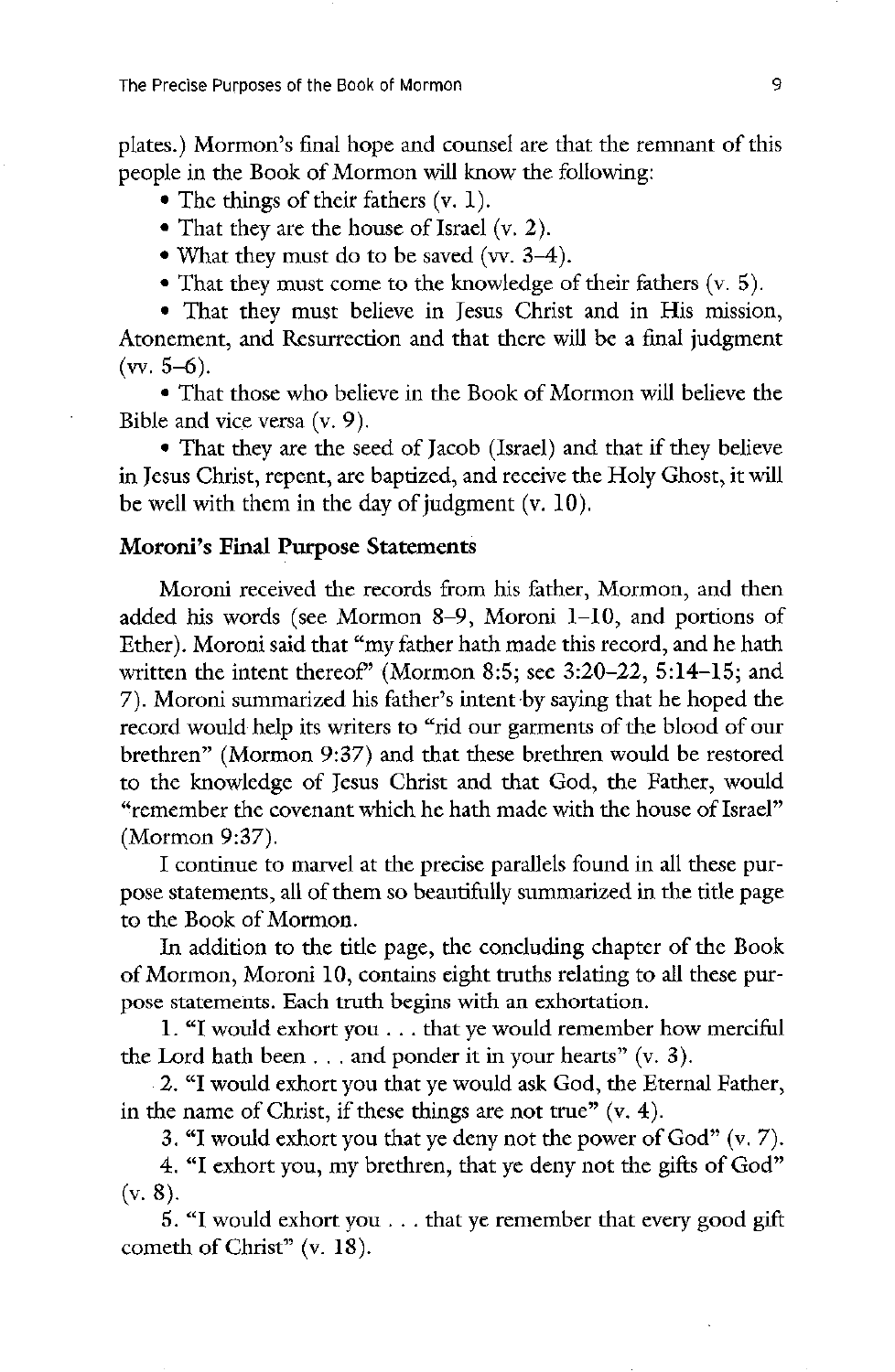The Precise Purposes of the Book of Mormon 9 and 9 and 9 and 9 and 9 and 9 and 9 and 9 and 9 and 9 and 9 and 9 and 9 and 9 and 9 and 9 and 9 and 9 and 9 and 9 and 9 and 9 and 9 and 9 and 9 and 9 and 9 and 9 and 9 and 9 and

plates.) Mormon's final hope and counsel are that the remnant of this people in the Book of Mormon will know the following:

- The things of their fathers  $(v, 1)$ .
- That they are the house of Israel  $(v, 2)$ .
- What they must do to be saved (vv.  $3-4$ ).
- That they must come to the knowledge of their fathers  $(v, 5)$ .

• That they must believe in Jesus Christ and in His mission, Atonement, and Resurrection and that there will be a final judgment  $(vv. 5-6).$ 

• That those who believe in the Book of Mormon will believe the Bible and vice versa  $(v, 9)$ .

• That they are the seed of Jacob (Israel) and that if they believe in Jesus Christ, repent, are baptized, and receive the Holy Ghost, it will be well with them in the day of judgment  $(v, 10)$ .

#### Moroni's Final Purpose Statements

Moroni received the records from his father, Mormon, and then added his words (see Mormon 8–9, Moroni  $1-10$ , and portions of Ether). Moroni said that "my father hath made this record, and he hath written the intent thereof" (Mormon 8:5; see  $3:20-22$ ,  $5:14-15$ ; and 7). Moroni summarized his father's intent by saying that he hoped the record would help its writers to "rid our garments of the blood of our brethren" (Mormon 9:37) and that these brethren would be restored to the knowledge of Jesus Christ and that God, the Father, would "remember the covenant which he hath made with the house of Israel"  $(Mormon 9:37)$ .

<sup>1</sup>I continue to marvel at the precise parallels found in all these purpose statements, all of them so beautifully summarized in the title page to the Book of Mormon.

In addition to the title page, the concluding chapter of the Book of Mormon, Moroni 10, contains eight truths relating to all these purpose statements. Each truth begins with an exhortation.

1. "I would exhort you . . . that ye would remember how merciful the Lord hath been  $\dots$  and ponder it in your hearts"  $(v. 3)$ .

2. "I would exhort you that ye would ask God, the Eternal Father, in the name of Christ, if these things are not true"  $(v, 4)$ .

3. "I would exhort you that ye deny not the power of God"  $(v, 7)$ .

4. "I exhort you, my brethren, that ye deny not the gifts of God"  $(v, 8)$ .

5. "I would exhort you . . . that ye remember that every good gift cometh of Christ"  $(v. 18)$ .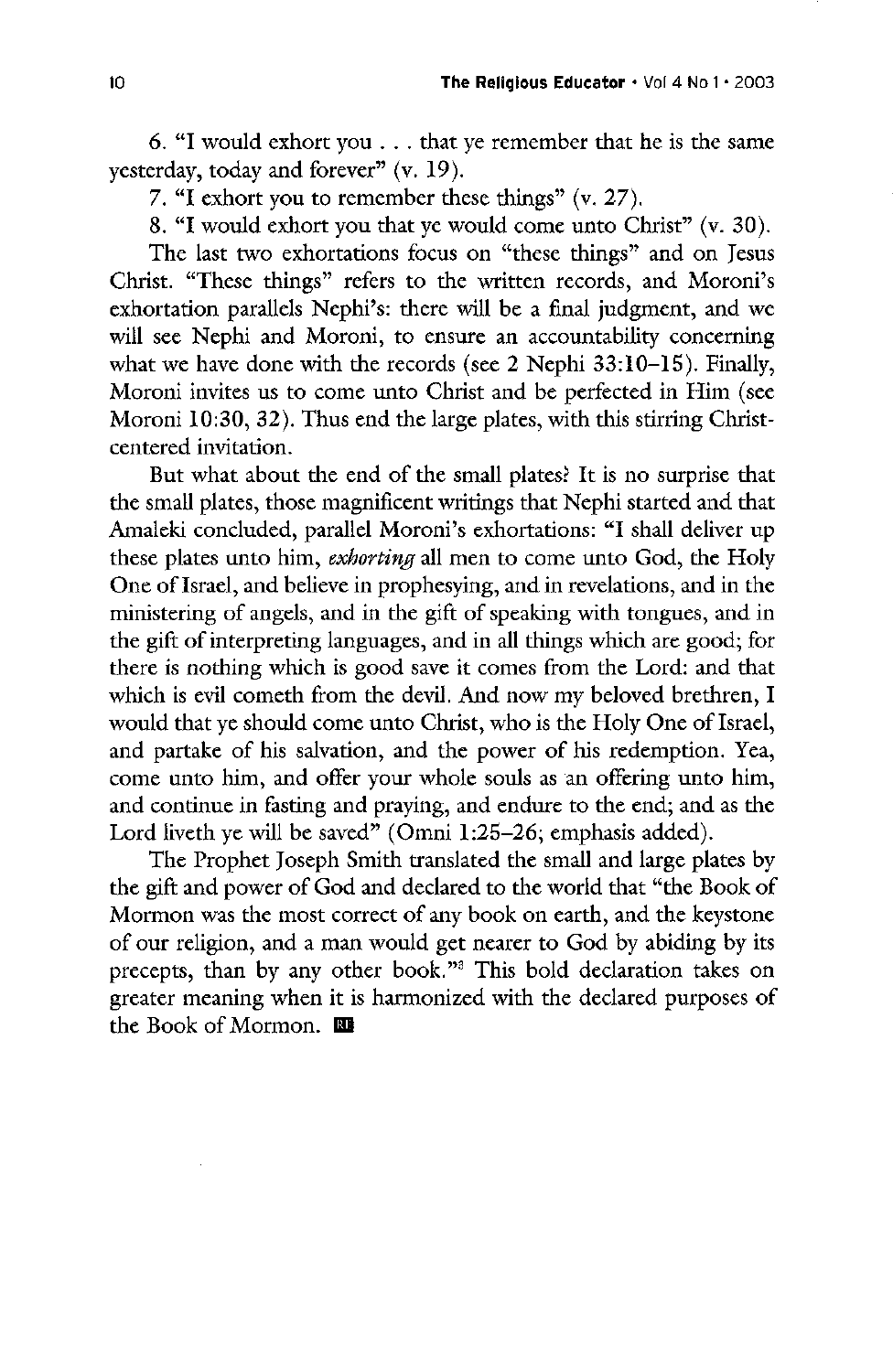6. "I would exhort you . . . that ye remember that he is the same yesterday, today and forever"  $(v. 19)$ .

7. "I exhort you to remember these things" (v. 27

8. "I would exhort you that ye would come unto Christ" (v. 30

The last two exhortations focus on "these things" and on Jesus Christ. "These things" refers to the written records, and Moroni's exhortation parallels Nephi's: there will be a final judgment, and we will see Nephi and Moroni, to ensure an accountability concerning what we have done with the records (see 2 Nephi  $33:10-15$ ). Finally, Moroni invites us to come unto Christ and be perfected in Him (see Moroni  $10:30, 32$ ). Thus end the large plates, with this stirring Christcentered invitation

But what about the end of the small plates? It is no surprise that the small plates, those magnificent writings that Nephi started and that Amaleki concluded, parallel Moroni's exhortations: "I shall deliver up these plates unto him, *exhorting* all men to come unto God, the Holy One of Israel, and believe in prophesying, and in revelations, and in the ministering of angels, and in the gift of speaking with tongues, and in the gift of interpreting languages, and in all things which are good; for there is nothing which is good save it comes from the Lord: and that which is evil cometh from the devil. And now my beloved brethren, I would that ye should come unto Christ, who is the Holy One of Israel, and partake of his salvation, and the power of his redemption. Yea, come unto him, and offer your whole souls as an offering unto him, and continue in fasting and praying, and endure to the end; and as the Lord liveth ye will be saved" (Omni  $1:25-26$ ; emphasis added). The Prophet Joseph Smith translated the small and large plates by the gift and power of God and declared to the world that "the Book of Mormon was the most correct of any book on earth, and the keystone of our religion, and a man would get nearer to God by abiding by its precepts, than by any other book."<sup>3</sup> This bold declaration takes on greater meaning when it is harmonized with the declared purposes of the Book of Mormon.  $\blacksquare$